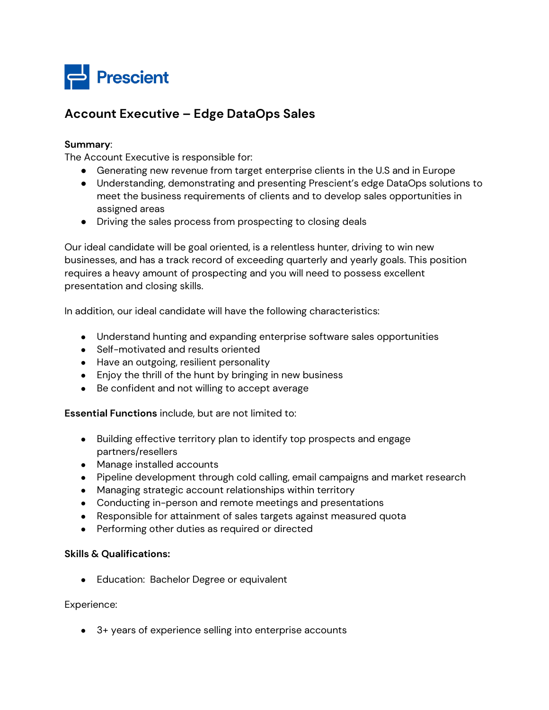

## **Account Executive – Edge DataOps Sales**

## **Summary**:

The Account Executive is responsible for:

- Generating new revenue from target enterprise clients in the U.S and in Europe
- Understanding, demonstrating and presenting Prescient's edge DataOps solutions to meet the business requirements of clients and to develop sales opportunities in assigned areas
- Driving the sales process from prospecting to closing deals

Our ideal candidate will be goal oriented, is a relentless hunter, driving to win new businesses, and has a track record of exceeding quarterly and yearly goals. This position requires a heavy amount of prospecting and you will need to possess excellent presentation and closing skills.

In addition, our ideal candidate will have the following characteristics:

- Understand hunting and expanding enterprise software sales opportunities
- Self-motivated and results oriented
- Have an outgoing, resilient personality
- Enjoy the thrill of the hunt by bringing in new business
- Be confident and not willing to accept average

**Essential Functions** include, but are not limited to:

- Building effective territory plan to identify top prospects and engage partners/resellers
- Manage installed accounts
- Pipeline development through cold calling, email campaigns and market research
- Managing strategic account relationships within territory
- Conducting in-person and remote meetings and presentations
- Responsible for attainment of sales targets against measured quota
- Performing other duties as required or directed

## **Skills & Qualifications:**

● Education: Bachelor Degree or equivalent

Experience:

● 3+ years of experience selling into enterprise accounts